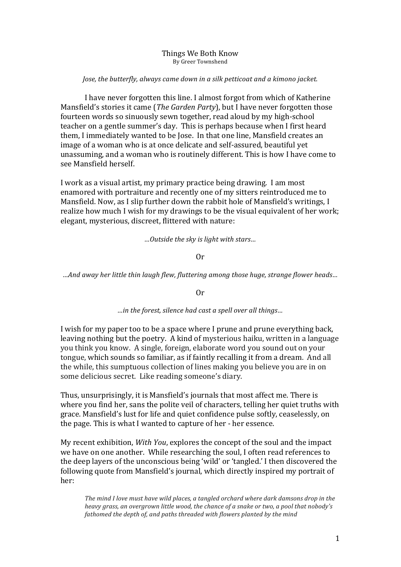## Things We Both Know By Greer Townshend

## *Jose, the butterfly, always came down in a silk petticoat and a kimono jacket.*

I have never forgotten this line. I almost forgot from which of Katherine Mansfield's stories it came (*The Garden Party*), but I have never forgotten those fourteen words so sinuously sewn together, read aloud by my high-school teacher on a gentle summer's day. This is perhaps because when I first heard them, I immediately wanted to be Jose. In that one line, Mansfield creates an image of a woman who is at once delicate and self-assured, beautiful vet unassuming, and a woman who is routinely different. This is how I have come to see Mansfield herself. 

I work as a visual artist, my primary practice being drawing. I am most enamored with portraiture and recently one of my sitters reintroduced me to Mansfield. Now, as I slip further down the rabbit hole of Mansfield's writings, I realize how much I wish for my drawings to be the visual equivalent of her work; elegant, mysterious, discreet, flittered with nature:

*…Outside the sky is light with stars…*

## Or

*…And away her little thin laugh flew, fluttering among those huge, strange flower heads…*

Or

## *…in the forest, silence had cast a spell over all things…*

I wish for my paper too to be a space where I prune and prune everything back. leaving nothing but the poetry. A kind of mysterious haiku, written in a language you think you know. A single, foreign, elaborate word you sound out on your tongue, which sounds so familiar, as if faintly recalling it from a dream. And all the while, this sumptuous collection of lines making you believe you are in on some delicious secret. Like reading someone's diary.

Thus, unsurprisingly, it is Mansfield's journals that most affect me. There is where you find her, sans the polite veil of characters, telling her quiet truths with grace. Mansfield's lust for life and quiet confidence pulse softly, ceaselessly, on the page. This is what I wanted to capture of her - her essence.

My recent exhibition, *With You*, explores the concept of the soul and the impact we have on one another. While researching the soul, I often read references to the deep layers of the unconscious being 'wild' or 'tangled.' I then discovered the following quote from Mansfield's journal, which directly inspired my portrait of her:

The mind I love must have wild places, a tangled orchard where dark damsons drop in the *heavy arass, an overarown little wood, the chance of a snake or two, a pool that nobody's fathomed the depth of, and paths threaded with flowers planted by the mind*